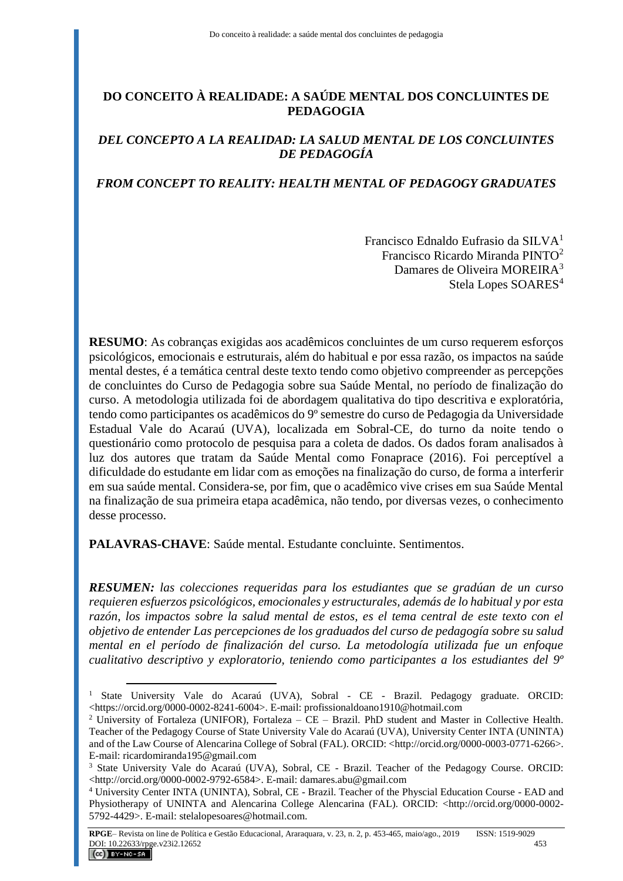# **DO CONCEITO À REALIDADE: A SAÚDE MENTAL DOS CONCLUINTES DE PEDAGOGIA**

## *DEL CONCEPTO A LA REALIDAD: LA SALUD MENTAL DE LOS CONCLUINTES DE PEDAGOGÍA*

## *FROM CONCEPT TO REALITY: HEALTH MENTAL OF PEDAGOGY GRADUATES*

Francisco Ednaldo Eufrasio da SILVA<sup>1</sup> Francisco Ricardo Miranda PINTO<sup>2</sup> Damares de Oliveira MOREIRA<sup>3</sup> Stela Lopes SOARES<sup>4</sup>

**RESUMO**: As cobranças exigidas aos acadêmicos concluintes de um curso requerem esforços psicológicos, emocionais e estruturais, além do habitual e por essa razão, os impactos na saúde mental destes, é a temática central deste texto tendo como objetivo compreender as percepções de concluintes do Curso de Pedagogia sobre sua Saúde Mental, no período de finalização do curso. A metodologia utilizada foi de abordagem qualitativa do tipo descritiva e exploratória, tendo como participantes os acadêmicos do 9º semestre do curso de Pedagogia da Universidade Estadual Vale do Acaraú (UVA), localizada em Sobral-CE, do turno da noite tendo o questionário como protocolo de pesquisa para a coleta de dados. Os dados foram analisados à luz dos autores que tratam da Saúde Mental como Fonaprace (2016). Foi perceptível a dificuldade do estudante em lidar com as emoções na finalização do curso, de forma a interferir em sua saúde mental. Considera-se, por fim, que o acadêmico vive crises em sua Saúde Mental na finalização de sua primeira etapa acadêmica, não tendo, por diversas vezes, o conhecimento desse processo.

**PALAVRAS-CHAVE**: Saúde mental. Estudante concluinte. Sentimentos.

 $\overline{a}$ 

*RESUMEN: las colecciones requeridas para los estudiantes que se gradúan de un curso requieren esfuerzos psicológicos, emocionales y estructurales, además de lo habitual y por esta*  razón, los impactos sobre la salud mental de estos, es el tema central de este texto con el *objetivo de entender Las percepciones de los graduados del curso de pedagogía sobre su salud mental en el período de finalización del curso. La metodología utilizada fue un enfoque cualitativo descriptivo y exploratorio, teniendo como participantes a los estudiantes del 9º* 

<sup>&</sup>lt;sup>1</sup> State University Vale do Acaraú (UVA), Sobral - CE - Brazil. Pedagogy graduate. ORCID: <https://orcid.org/0000-0002-8241-6004>. E-mail: profissionaldoano1910@hotmail.com

<sup>&</sup>lt;sup>2</sup> University of Fortaleza (UNIFOR), Fortaleza – CE – Brazil. PhD student and Master in Collective Health. Teacher of the Pedagogy Course of State University Vale do Acaraú (UVA), University Center INTA (UNINTA) and of the Law Course of Alencarina College of Sobral (FAL). ORCID: <http://orcid.org/0000-0003-0771-6266>. E-mail: ricardomiranda195@gmail.com

<sup>&</sup>lt;sup>3</sup> State University Vale do Acaraú (UVA), Sobral, CE - Brazil. Teacher of the Pedagogy Course. ORCID: <http://orcid.org/0000-0002-9792-6584>. E-mail: damares.abu@gmail.com

<sup>4</sup> University Center INTA (UNINTA), Sobral, CE - Brazil. Teacher of the Physcial Education Course - EAD and Physiotherapy of UNINTA and Alencarina College Alencarina (FAL). ORCID: <http://orcid.org/0000-0002-5792-4429>. E-mail: stelalopesoares@hotmail.com.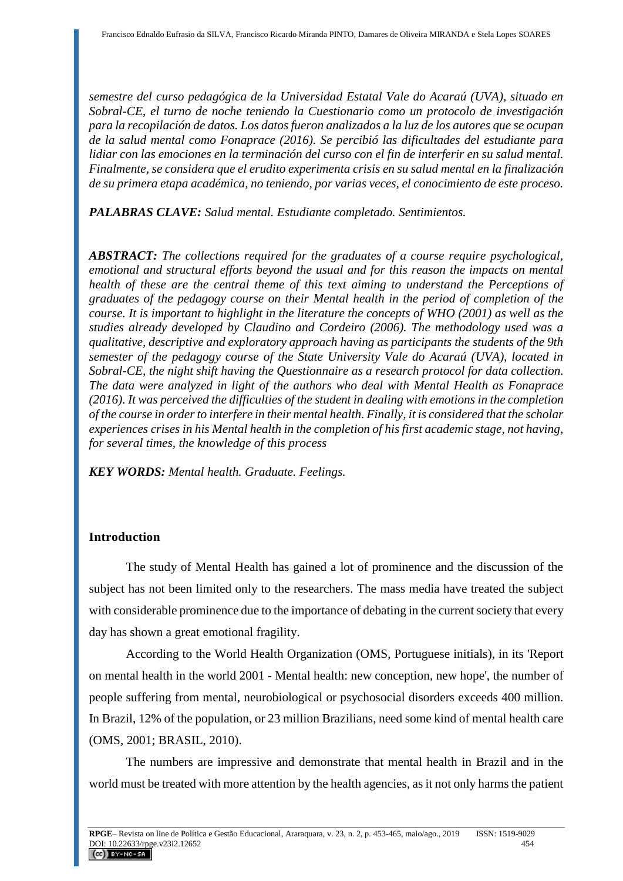*semestre del curso pedagógica de la Universidad Estatal Vale do Acaraú (UVA), situado en Sobral-CE, el turno de noche teniendo la Cuestionario como un protocolo de investigación para la recopilación de datos. Los datos fueron analizados a la luz de los autores que se ocupan de la salud mental como Fonaprace (2016). Se percibió las dificultades del estudiante para lidiar con las emociones en la terminación del curso con el fin de interferir en su salud mental. Finalmente, se considera que el erudito experimenta crisis en su salud mental en la finalización de su primera etapa académica, no teniendo, por varias veces, el conocimiento de este proceso.*

*PALABRAS CLAVE: Salud mental. Estudiante completado. Sentimientos.*

*ABSTRACT: The collections required for the graduates of a course require psychological, emotional and structural efforts beyond the usual and for this reason the impacts on mental health of these are the central theme of this text aiming to understand the Perceptions of graduates of the pedagogy course on their Mental health in the period of completion of the course. It is important to highlight in the literature the concepts of WHO (2001) as well as the studies already developed by Claudino and Cordeiro (2006). The methodology used was a qualitative, descriptive and exploratory approach having as participants the students of the 9th semester of the pedagogy course of the State University Vale do Acaraú (UVA), located in Sobral-CE, the night shift having the Questionnaire as a research protocol for data collection. The data were analyzed in light of the authors who deal with Mental Health as Fonaprace (2016). It was perceived the difficulties of the student in dealing with emotions in the completion of the course in order to interfere in their mental health. Finally, it is considered that the scholar experiences crises in his Mental health in the completion of his first academic stage, not having, for several times, the knowledge of this process*

*KEY WORDS: Mental health. Graduate. Feelings.*

### **Introduction**

The study of Mental Health has gained a lot of prominence and the discussion of the subject has not been limited only to the researchers. The mass media have treated the subject with considerable prominence due to the importance of debating in the current society that every day has shown a great emotional fragility.

According to the World Health Organization (OMS, Portuguese initials), in its 'Report on mental health in the world 2001 - Mental health: new conception, new hope', the number of people suffering from mental, neurobiological or psychosocial disorders exceeds 400 million. In Brazil, 12% of the population, or 23 million Brazilians, need some kind of mental health care (OMS, 2001; BRASIL, 2010).

The numbers are impressive and demonstrate that mental health in Brazil and in the world must be treated with more attention by the health agencies, as it not only harms the patient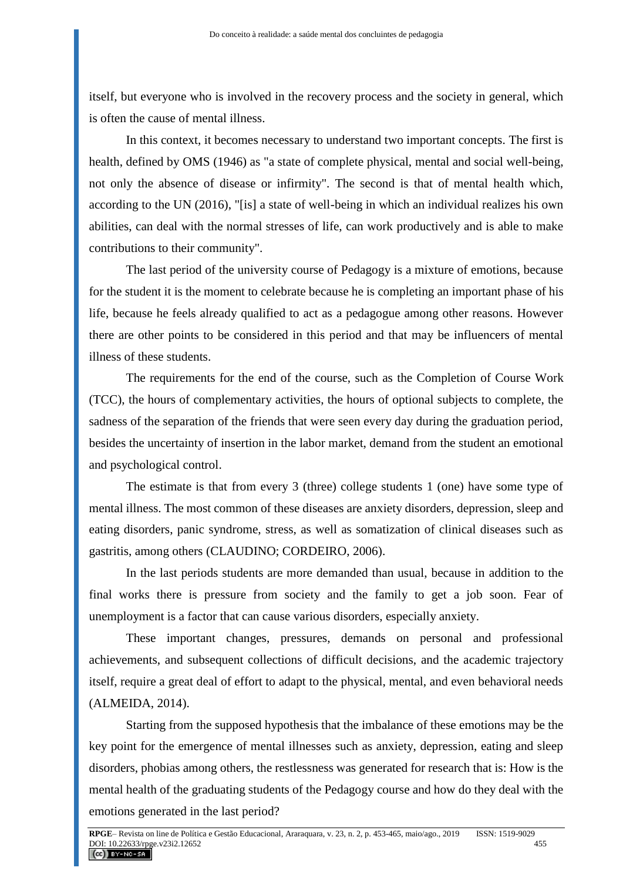itself, but everyone who is involved in the recovery process and the society in general, which is often the cause of mental illness.

In this context, it becomes necessary to understand two important concepts. The first is health, defined by OMS (1946) as "a state of complete physical, mental and social well-being, not only the absence of disease or infirmity". The second is that of mental health which, according to the UN (2016), "[is] a state of well-being in which an individual realizes his own abilities, can deal with the normal stresses of life, can work productively and is able to make contributions to their community".

The last period of the university course of Pedagogy is a mixture of emotions, because for the student it is the moment to celebrate because he is completing an important phase of his life, because he feels already qualified to act as a pedagogue among other reasons. However there are other points to be considered in this period and that may be influencers of mental illness of these students.

The requirements for the end of the course, such as the Completion of Course Work (TCC), the hours of complementary activities, the hours of optional subjects to complete, the sadness of the separation of the friends that were seen every day during the graduation period, besides the uncertainty of insertion in the labor market, demand from the student an emotional and psychological control.

The estimate is that from every 3 (three) college students 1 (one) have some type of mental illness. The most common of these diseases are anxiety disorders, depression, sleep and eating disorders, panic syndrome, stress, as well as somatization of clinical diseases such as gastritis, among others (CLAUDINO; CORDEIRO, 2006).

In the last periods students are more demanded than usual, because in addition to the final works there is pressure from society and the family to get a job soon. Fear of unemployment is a factor that can cause various disorders, especially anxiety.

These important changes, pressures, demands on personal and professional achievements, and subsequent collections of difficult decisions, and the academic trajectory itself, require a great deal of effort to adapt to the physical, mental, and even behavioral needs (ALMEIDA, 2014).

Starting from the supposed hypothesis that the imbalance of these emotions may be the key point for the emergence of mental illnesses such as anxiety, depression, eating and sleep disorders, phobias among others, the restlessness was generated for research that is: How is the mental health of the graduating students of the Pedagogy course and how do they deal with the emotions generated in the last period?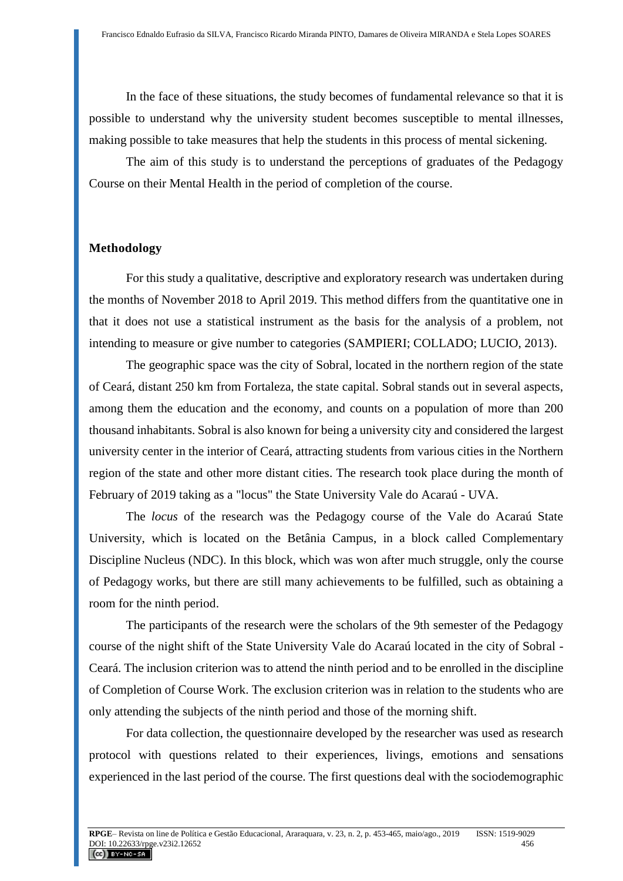In the face of these situations, the study becomes of fundamental relevance so that it is possible to understand why the university student becomes susceptible to mental illnesses, making possible to take measures that help the students in this process of mental sickening.

The aim of this study is to understand the perceptions of graduates of the Pedagogy Course on their Mental Health in the period of completion of the course.

#### **Methodology**

For this study a qualitative, descriptive and exploratory research was undertaken during the months of November 2018 to April 2019. This method differs from the quantitative one in that it does not use a statistical instrument as the basis for the analysis of a problem, not intending to measure or give number to categories (SAMPIERI; COLLADO; LUCIO, 2013).

The geographic space was the city of Sobral, located in the northern region of the state of Ceará, distant 250 km from Fortaleza, the state capital. Sobral stands out in several aspects, among them the education and the economy, and counts on a population of more than 200 thousand inhabitants. Sobral is also known for being a university city and considered the largest university center in the interior of Ceará, attracting students from various cities in the Northern region of the state and other more distant cities. The research took place during the month of February of 2019 taking as a "locus" the State University Vale do Acaraú - UVA.

The *locus* of the research was the Pedagogy course of the Vale do Acaraú State University, which is located on the Betânia Campus, in a block called Complementary Discipline Nucleus (NDC). In this block, which was won after much struggle, only the course of Pedagogy works, but there are still many achievements to be fulfilled, such as obtaining a room for the ninth period.

The participants of the research were the scholars of the 9th semester of the Pedagogy course of the night shift of the State University Vale do Acaraú located in the city of Sobral - Ceará. The inclusion criterion was to attend the ninth period and to be enrolled in the discipline of Completion of Course Work. The exclusion criterion was in relation to the students who are only attending the subjects of the ninth period and those of the morning shift.

For data collection, the questionnaire developed by the researcher was used as research protocol with questions related to their experiences, livings, emotions and sensations experienced in the last period of the course. The first questions deal with the sociodemographic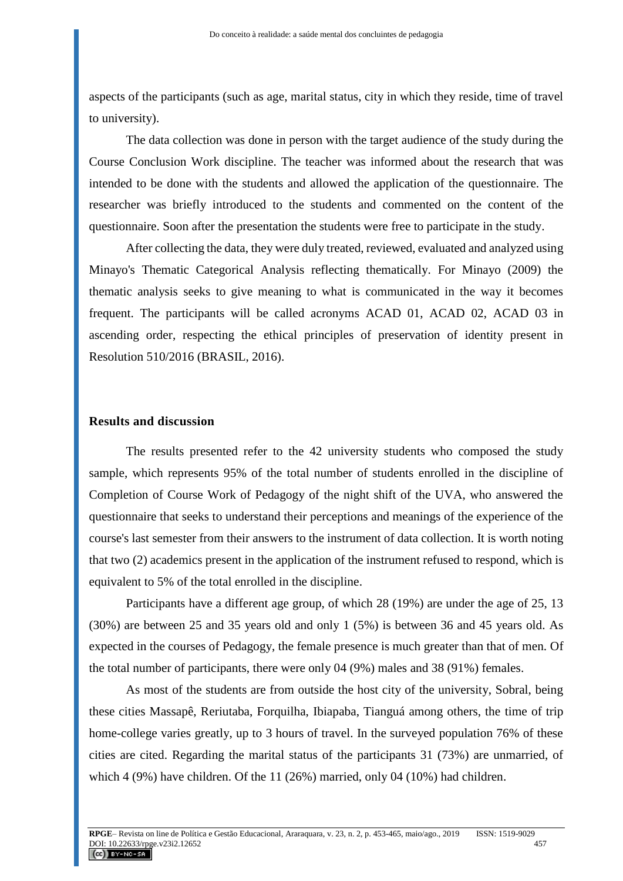aspects of the participants (such as age, marital status, city in which they reside, time of travel to university).

The data collection was done in person with the target audience of the study during the Course Conclusion Work discipline. The teacher was informed about the research that was intended to be done with the students and allowed the application of the questionnaire. The researcher was briefly introduced to the students and commented on the content of the questionnaire. Soon after the presentation the students were free to participate in the study.

After collecting the data, they were duly treated, reviewed, evaluated and analyzed using Minayo's Thematic Categorical Analysis reflecting thematically. For Minayo (2009) the thematic analysis seeks to give meaning to what is communicated in the way it becomes frequent. The participants will be called acronyms ACAD 01, ACAD 02, ACAD 03 in ascending order, respecting the ethical principles of preservation of identity present in Resolution 510/2016 (BRASIL, 2016).

#### **Results and discussion**

The results presented refer to the 42 university students who composed the study sample, which represents 95% of the total number of students enrolled in the discipline of Completion of Course Work of Pedagogy of the night shift of the UVA, who answered the questionnaire that seeks to understand their perceptions and meanings of the experience of the course's last semester from their answers to the instrument of data collection. It is worth noting that two (2) academics present in the application of the instrument refused to respond, which is equivalent to 5% of the total enrolled in the discipline.

Participants have a different age group, of which 28 (19%) are under the age of 25, 13 (30%) are between 25 and 35 years old and only 1 (5%) is between 36 and 45 years old. As expected in the courses of Pedagogy, the female presence is much greater than that of men. Of the total number of participants, there were only 04 (9%) males and 38 (91%) females.

As most of the students are from outside the host city of the university, Sobral, being these cities Massapê, Reriutaba, Forquilha, Ibiapaba, Tianguá among others, the time of trip home-college varies greatly, up to 3 hours of travel. In the surveyed population 76% of these cities are cited. Regarding the marital status of the participants 31 (73%) are unmarried, of which 4 (9%) have children. Of the 11 (26%) married, only 04 (10%) had children.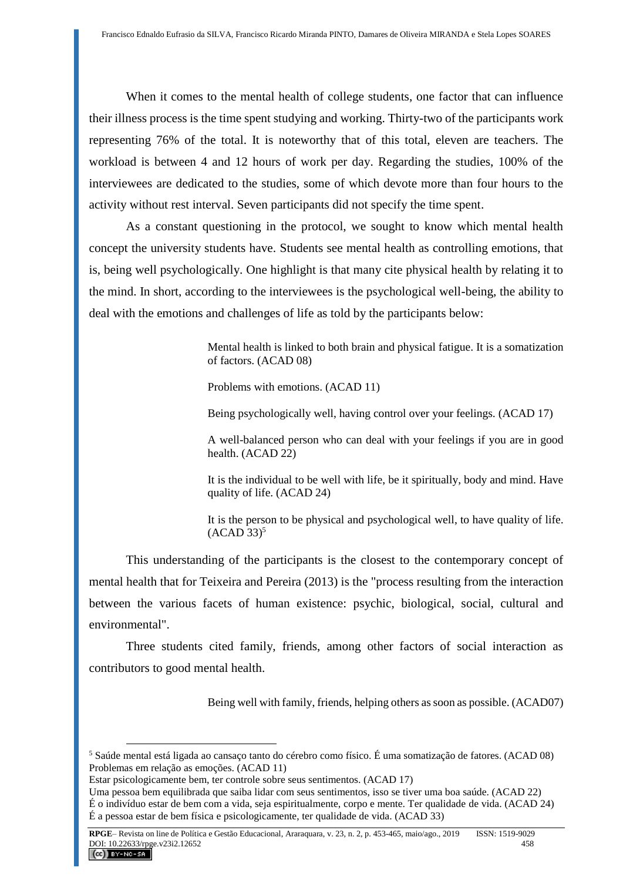When it comes to the mental health of college students, one factor that can influence their illness process is the time spent studying and working. Thirty-two of the participants work representing 76% of the total. It is noteworthy that of this total, eleven are teachers. The workload is between 4 and 12 hours of work per day. Regarding the studies, 100% of the interviewees are dedicated to the studies, some of which devote more than four hours to the activity without rest interval. Seven participants did not specify the time spent.

As a constant questioning in the protocol, we sought to know which mental health concept the university students have. Students see mental health as controlling emotions, that is, being well psychologically. One highlight is that many cite physical health by relating it to the mind. In short, according to the interviewees is the psychological well-being, the ability to deal with the emotions and challenges of life as told by the participants below:

> Mental health is linked to both brain and physical fatigue. It is a somatization of factors. (ACAD 08)

Problems with emotions. (ACAD 11)

Being psychologically well, having control over your feelings. (ACAD 17)

A well-balanced person who can deal with your feelings if you are in good health. (ACAD 22)

It is the individual to be well with life, be it spiritually, body and mind. Have quality of life. (ACAD 24)

It is the person to be physical and psychological well, to have quality of life.  $(ACAD 33)<sup>5</sup>$ 

This understanding of the participants is the closest to the contemporary concept of mental health that for Teixeira and Pereira (2013) is the "process resulting from the interaction between the various facets of human existence: psychic, biological, social, cultural and environmental".

Three students cited family, friends, among other factors of social interaction as contributors to good mental health.

Being well with family, friends, helping others as soon as possible. (ACAD07)

<sup>5</sup> Saúde mental está ligada ao cansaço tanto do cérebro como físico. É uma somatização de fatores. (ACAD 08) Problemas em relação as emoções. (ACAD 11)

Estar psicologicamente bem, ter controle sobre seus sentimentos. (ACAD 17)

Uma pessoa bem equilibrada que saiba lidar com seus sentimentos, isso se tiver uma boa saúde. (ACAD 22) É o indivíduo estar de bem com a vida, seja espiritualmente, corpo e mente. Ter qualidade de vida. (ACAD 24) É a pessoa estar de bem física e psicologicamente, ter qualidade de vida. (ACAD 33)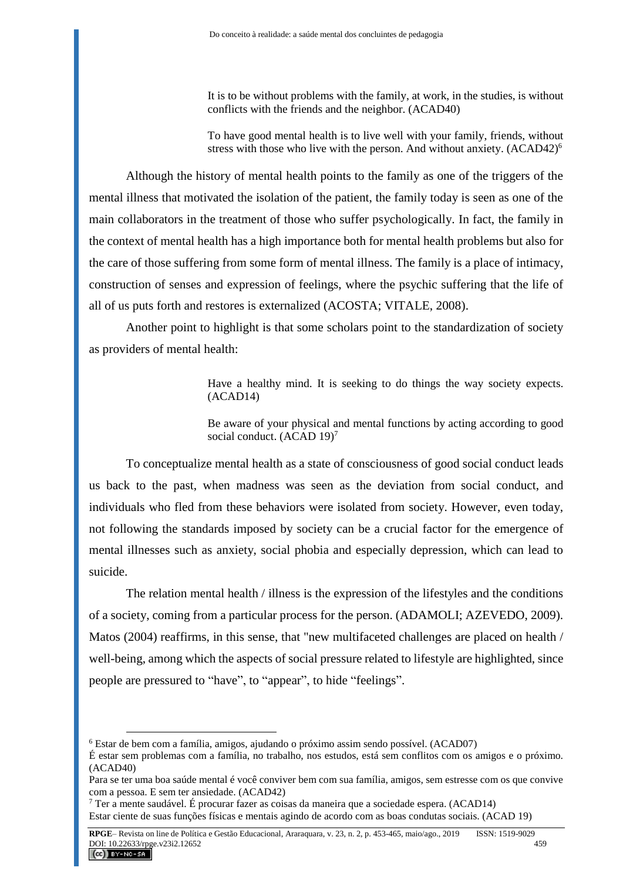It is to be without problems with the family, at work, in the studies, is without conflicts with the friends and the neighbor. (ACAD40)

To have good mental health is to live well with your family, friends, without stress with those who live with the person. And without anxiety.  $(ACAD42)^6$ 

Although the history of mental health points to the family as one of the triggers of the mental illness that motivated the isolation of the patient, the family today is seen as one of the main collaborators in the treatment of those who suffer psychologically. In fact, the family in the context of mental health has a high importance both for mental health problems but also for the care of those suffering from some form of mental illness. The family is a place of intimacy, construction of senses and expression of feelings, where the psychic suffering that the life of all of us puts forth and restores is externalized (ACOSTA; VITALE, 2008).

Another point to highlight is that some scholars point to the standardization of society as providers of mental health:

> Have a healthy mind. It is seeking to do things the way society expects. (ACAD14)

> Be aware of your physical and mental functions by acting according to good social conduct. (ACAD 19)<sup>7</sup>

To conceptualize mental health as a state of consciousness of good social conduct leads us back to the past, when madness was seen as the deviation from social conduct, and individuals who fled from these behaviors were isolated from society. However, even today, not following the standards imposed by society can be a crucial factor for the emergence of mental illnesses such as anxiety, social phobia and especially depression, which can lead to suicide.

The relation mental health / illness is the expression of the lifestyles and the conditions of a society, coming from a particular process for the person. (ADAMOLI; AZEVEDO, 2009). Matos (2004) reaffirms, in this sense, that "new multifaceted challenges are placed on health / well-being, among which the aspects of social pressure related to lifestyle are highlighted, since people are pressured to "have", to "appear", to hide "feelings".

<sup>6</sup> Estar de bem com a família, amigos, ajudando o próximo assim sendo possível. (ACAD07)

É estar sem problemas com a família, no trabalho, nos estudos, está sem conflitos com os amigos e o próximo. (ACAD40)

Para se ter uma boa saúde mental é você conviver bem com sua família, amigos, sem estresse com os que convive com a pessoa. E sem ter ansiedade. (ACAD42)

 $\frac{7}{7}$  Ter a mente saudável. É procurar fazer as coisas da maneira que a sociedade espera. (ACAD14) Estar ciente de suas funções físicas e mentais agindo de acordo com as boas condutas sociais. (ACAD 19)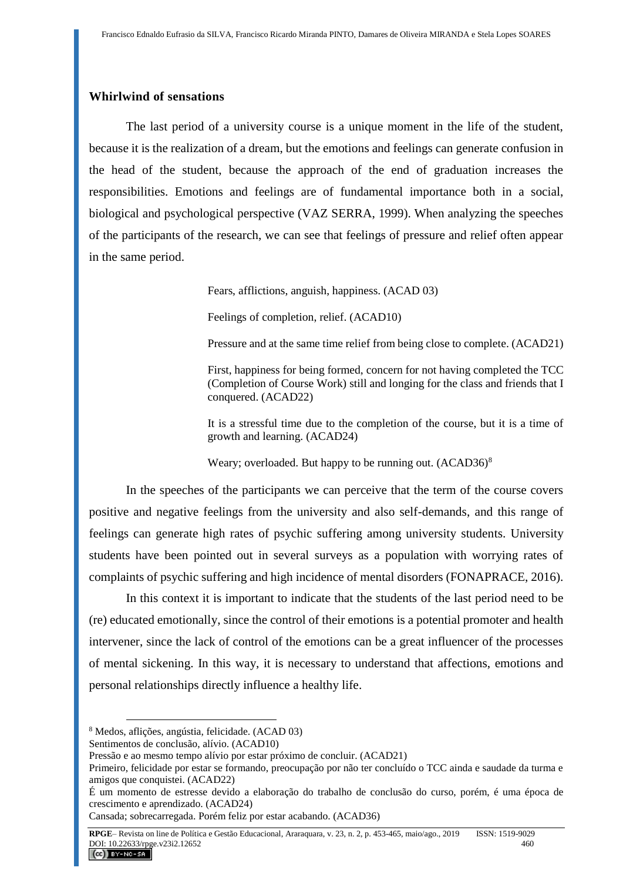### **Whirlwind of sensations**

The last period of a university course is a unique moment in the life of the student, because it is the realization of a dream, but the emotions and feelings can generate confusion in the head of the student, because the approach of the end of graduation increases the responsibilities. Emotions and feelings are of fundamental importance both in a social, biological and psychological perspective (VAZ SERRA, 1999). When analyzing the speeches of the participants of the research, we can see that feelings of pressure and relief often appear in the same period.

Fears, afflictions, anguish, happiness. (ACAD 03)

Feelings of completion, relief. (ACAD10)

Pressure and at the same time relief from being close to complete. (ACAD21)

First, happiness for being formed, concern for not having completed the TCC (Completion of Course Work) still and longing for the class and friends that I conquered. (ACAD22)

It is a stressful time due to the completion of the course, but it is a time of growth and learning. (ACAD24)

Weary; overloaded. But happy to be running out.  $(ACAD36)^8$ 

In the speeches of the participants we can perceive that the term of the course covers positive and negative feelings from the university and also self-demands, and this range of feelings can generate high rates of psychic suffering among university students. University students have been pointed out in several surveys as a population with worrying rates of complaints of psychic suffering and high incidence of mental disorders (FONAPRACE, 2016).

In this context it is important to indicate that the students of the last period need to be (re) educated emotionally, since the control of their emotions is a potential promoter and health intervener, since the lack of control of the emotions can be a great influencer of the processes of mental sickening. In this way, it is necessary to understand that affections, emotions and personal relationships directly influence a healthy life.

<sup>8</sup> Medos, aflições, angústia, felicidade. (ACAD 03)

Sentimentos de conclusão, alívio. (ACAD10)

Pressão e ao mesmo tempo alívio por estar próximo de concluir. (ACAD21)

Primeiro, felicidade por estar se formando, preocupação por não ter concluído o TCC ainda e saudade da turma e amigos que conquistei. (ACAD22)

É um momento de estresse devido a elaboração do trabalho de conclusão do curso, porém, é uma época de crescimento e aprendizado. (ACAD24)

Cansada; sobrecarregada. Porém feliz por estar acabando. (ACAD36)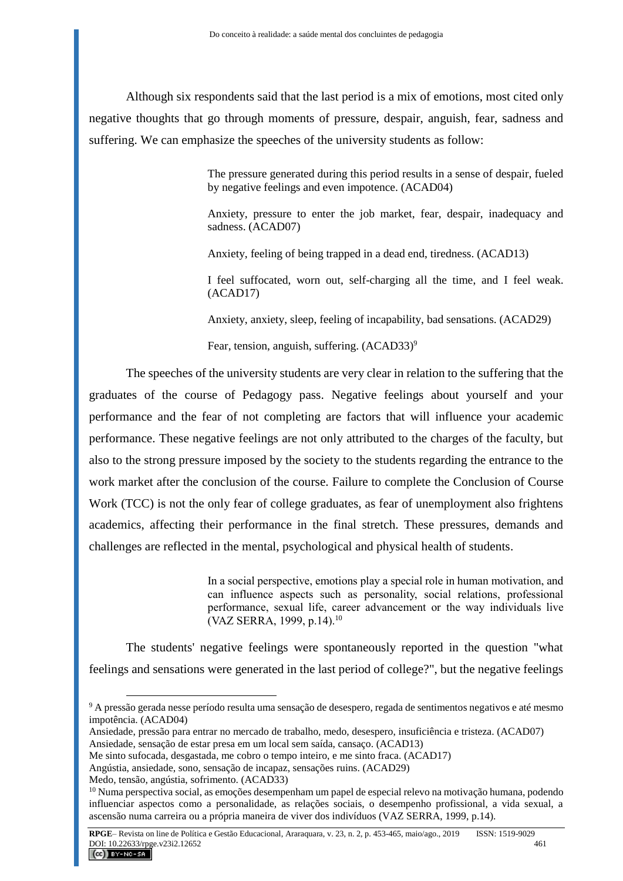Although six respondents said that the last period is a mix of emotions, most cited only negative thoughts that go through moments of pressure, despair, anguish, fear, sadness and suffering. We can emphasize the speeches of the university students as follow:

> The pressure generated during this period results in a sense of despair, fueled by negative feelings and even impotence. (ACAD04)

> Anxiety, pressure to enter the job market, fear, despair, inadequacy and sadness. (ACAD07)

Anxiety, feeling of being trapped in a dead end, tiredness. (ACAD13)

I feel suffocated, worn out, self-charging all the time, and I feel weak. (ACAD17)

Anxiety, anxiety, sleep, feeling of incapability, bad sensations. (ACAD29)

Fear, tension, anguish, suffering. (ACAD33)<sup>9</sup>

The speeches of the university students are very clear in relation to the suffering that the graduates of the course of Pedagogy pass. Negative feelings about yourself and your performance and the fear of not completing are factors that will influence your academic performance. These negative feelings are not only attributed to the charges of the faculty, but also to the strong pressure imposed by the society to the students regarding the entrance to the work market after the conclusion of the course. Failure to complete the Conclusion of Course Work (TCC) is not the only fear of college graduates, as fear of unemployment also frightens academics, affecting their performance in the final stretch. These pressures, demands and challenges are reflected in the mental, psychological and physical health of students.

> In a social perspective, emotions play a special role in human motivation, and can influence aspects such as personality, social relations, professional performance, sexual life, career advancement or the way individuals live (VAZ SERRA, 1999, p.14).<sup>10</sup>

The students' negative feelings were spontaneously reported in the question "what feelings and sensations were generated in the last period of college?", but the negative feelings

<sup>9</sup> A pressão gerada nesse período resulta uma sensação de desespero, regada de sentimentos negativos e até mesmo impotência. (ACAD04)

Ansiedade, pressão para entrar no mercado de trabalho, medo, desespero, insuficiência e tristeza. (ACAD07) Ansiedade, sensação de estar presa em um local sem saída, cansaço. (ACAD13)

Me sinto sufocada, desgastada, me cobro o tempo inteiro, e me sinto fraca. (ACAD17)

Angústia, ansiedade, sono, sensação de incapaz, sensações ruins. (ACAD29)

Medo, tensão, angústia, sofrimento. (ACAD33)

<sup>10</sup> Numa perspectiva social, as emoções desempenham um papel de especial relevo na motivação humana, podendo influenciar aspectos como a personalidade, as relações sociais, o desempenho profissional, a vida sexual, a ascensão numa carreira ou a própria maneira de viver dos indivíduos (VAZ SERRA, 1999, p.14).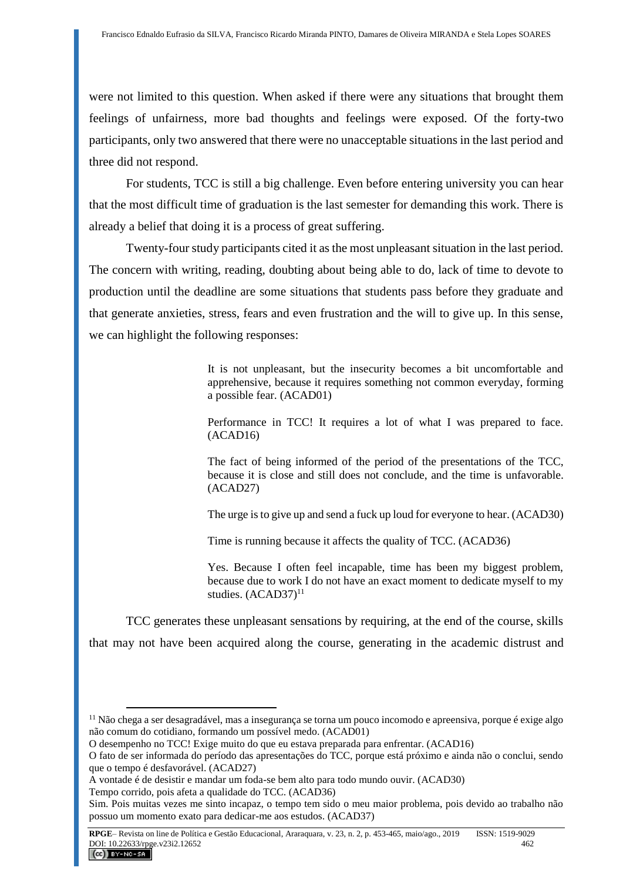were not limited to this question. When asked if there were any situations that brought them feelings of unfairness, more bad thoughts and feelings were exposed. Of the forty-two participants, only two answered that there were no unacceptable situations in the last period and three did not respond.

For students, TCC is still a big challenge. Even before entering university you can hear that the most difficult time of graduation is the last semester for demanding this work. There is already a belief that doing it is a process of great suffering.

Twenty-four study participants cited it as the most unpleasant situation in the last period. The concern with writing, reading, doubting about being able to do, lack of time to devote to production until the deadline are some situations that students pass before they graduate and that generate anxieties, stress, fears and even frustration and the will to give up. In this sense, we can highlight the following responses:

> It is not unpleasant, but the insecurity becomes a bit uncomfortable and apprehensive, because it requires something not common everyday, forming a possible fear. (ACAD01)

> Performance in TCC! It requires a lot of what I was prepared to face. (ACAD16)

> The fact of being informed of the period of the presentations of the TCC, because it is close and still does not conclude, and the time is unfavorable. (ACAD27)

> The urge is to give up and send a fuck up loud for everyone to hear. (ACAD30)

Time is running because it affects the quality of TCC. (ACAD36)

Yes. Because I often feel incapable, time has been my biggest problem, because due to work I do not have an exact moment to dedicate myself to my studies. (ACAD37)<sup>11</sup>

TCC generates these unpleasant sensations by requiring, at the end of the course, skills that may not have been acquired along the course, generating in the academic distrust and

 $11$  Não chega a ser desagradável, mas a insegurança se torna um pouco incomodo e apreensiva, porque é exige algo não comum do cotidiano, formando um possível medo. (ACAD01)

O desempenho no TCC! Exige muito do que eu estava preparada para enfrentar. (ACAD16)

O fato de ser informada do período das apresentações do TCC, porque está próximo e ainda não o conclui, sendo que o tempo é desfavorável. (ACAD27)

A vontade é de desistir e mandar um foda-se bem alto para todo mundo ouvir. (ACAD30)

Tempo corrido, pois afeta a qualidade do TCC. (ACAD36)

Sim. Pois muitas vezes me sinto incapaz, o tempo tem sido o meu maior problema, pois devido ao trabalho não possuo um momento exato para dedicar-me aos estudos. (ACAD37)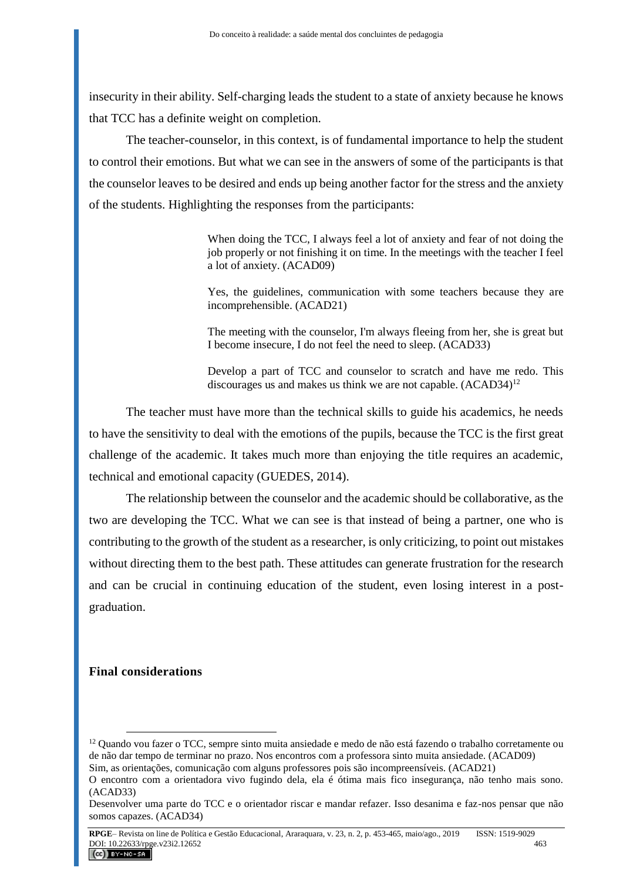insecurity in their ability. Self-charging leads the student to a state of anxiety because he knows that TCC has a definite weight on completion.

The teacher-counselor, in this context, is of fundamental importance to help the student to control their emotions. But what we can see in the answers of some of the participants is that the counselor leaves to be desired and ends up being another factor for the stress and the anxiety of the students. Highlighting the responses from the participants:

> When doing the TCC, I always feel a lot of anxiety and fear of not doing the job properly or not finishing it on time. In the meetings with the teacher I feel a lot of anxiety. (ACAD09)

> Yes, the guidelines, communication with some teachers because they are incomprehensible. (ACAD21)

> The meeting with the counselor, I'm always fleeing from her, she is great but I become insecure, I do not feel the need to sleep. (ACAD33)

> Develop a part of TCC and counselor to scratch and have me redo. This discourages us and makes us think we are not capable.  $(ACAD34)^{12}$

The teacher must have more than the technical skills to guide his academics, he needs to have the sensitivity to deal with the emotions of the pupils, because the TCC is the first great challenge of the academic. It takes much more than enjoying the title requires an academic, technical and emotional capacity (GUEDES, 2014).

The relationship between the counselor and the academic should be collaborative, as the two are developing the TCC. What we can see is that instead of being a partner, one who is contributing to the growth of the student as a researcher, is only criticizing, to point out mistakes without directing them to the best path. These attitudes can generate frustration for the research and can be crucial in continuing education of the student, even losing interest in a postgraduation.

# **Final considerations**

<sup>12</sup> Quando vou fazer o TCC, sempre sinto muita ansiedade e medo de não está fazendo o trabalho corretamente ou de não dar tempo de terminar no prazo. Nos encontros com a professora sinto muita ansiedade. (ACAD09) Sim, as orientações, comunicação com alguns professores pois são incompreensíveis. (ACAD21)

O encontro com a orientadora vivo fugindo dela, ela é ótima mais fico insegurança, não tenho mais sono. (ACAD33)

Desenvolver uma parte do TCC e o orientador riscar e mandar refazer. Isso desanima e faz-nos pensar que não somos capazes. (ACAD34)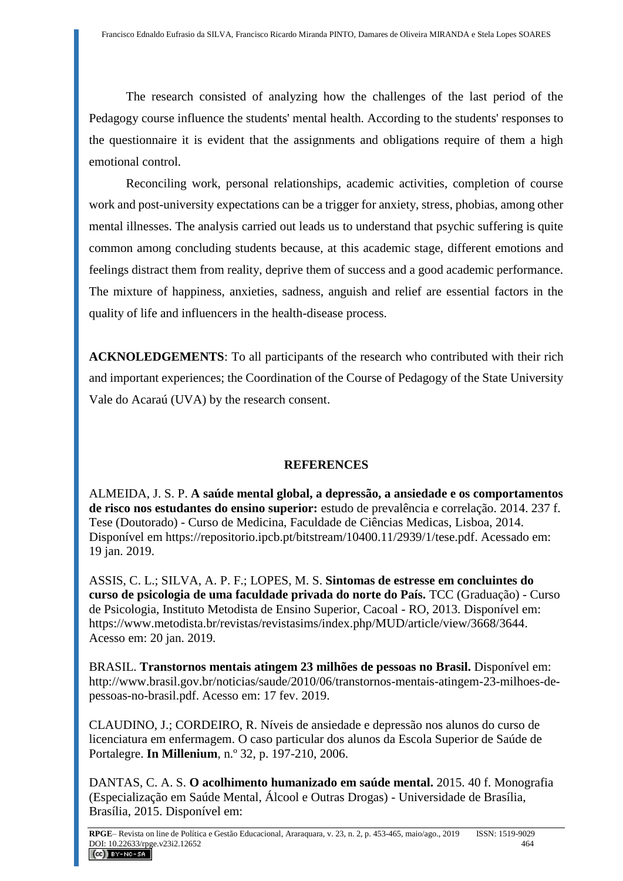The research consisted of analyzing how the challenges of the last period of the Pedagogy course influence the students' mental health. According to the students' responses to the questionnaire it is evident that the assignments and obligations require of them a high emotional control.

Reconciling work, personal relationships, academic activities, completion of course work and post-university expectations can be a trigger for anxiety, stress, phobias, among other mental illnesses. The analysis carried out leads us to understand that psychic suffering is quite common among concluding students because, at this academic stage, different emotions and feelings distract them from reality, deprive them of success and a good academic performance. The mixture of happiness, anxieties, sadness, anguish and relief are essential factors in the quality of life and influencers in the health-disease process.

**ACKNOLEDGEMENTS**: To all participants of the research who contributed with their rich and important experiences; the Coordination of the Course of Pedagogy of the State University Vale do Acaraú (UVA) by the research consent.

# **REFERENCES**

ALMEIDA, J. S. P. **A saúde mental global, a depressão, a ansiedade e os comportamentos de risco nos estudantes do ensino superior:** estudo de prevalência e correlação. 2014. 237 f. Tese (Doutorado) - Curso de Medicina, Faculdade de Ciências Medicas, Lisboa, 2014. Disponível em [https://repositorio.ipcb.pt/bitstream/10400.11/2939/1/tese.pdf.](https://repositorio.ipcb.pt/bitstream/10400.11/2939/1/tese.pdf) Acessado em: 19 jan. 2019.

ASSIS, C. L.; SILVA, A. P. F.; LOPES, M. S. **Sintomas de estresse em concluintes do curso de psicologia de uma faculdade privada do norte do País.** TCC (Graduação) - Curso de Psicologia, Instituto Metodista de Ensino Superior, Cacoal - RO, 2013. Disponível em: [https://www.metodista.br/revistas/revistasims/index.php/MUD/article/view/3668/3644.](https://www.metodista.br/revistas/revistasims/index.php/MUD/article/view/3668/3644) Acesso em: 20 jan. 2019.

BRASIL. **Transtornos mentais atingem 23 milhões de pessoas no Brasil.** Disponível em: [http://www.brasil.gov.br/noticias/saude/2010/06/transtornos-mentais-atingem-23-milhoes-de](http://www.brasil.gov.br/noticias/saude/2010/06/transtornos-mentais-atingem-23-milhoes-de-pessoas-no-brasil)[pessoas-no-brasil.](http://www.brasil.gov.br/noticias/saude/2010/06/transtornos-mentais-atingem-23-milhoes-de-pessoas-no-brasil)pdf. Acesso em: 17 fev. 2019.

CLAUDINO, J.; CORDEIRO, R. Níveis de ansiedade e depressão nos alunos do curso de licenciatura em enfermagem. O caso particular dos alunos da Escola Superior de Saúde de Portalegre. **In Millenium**, n.º 32, p. 197-210, 2006.

DANTAS, C. A. S. **O acolhimento humanizado em saúde mental.** 2015. 40 f. Monografia (Especialização em Saúde Mental, Álcool e Outras Drogas) - Universidade de Brasília, Brasília, 2015. Disponível em: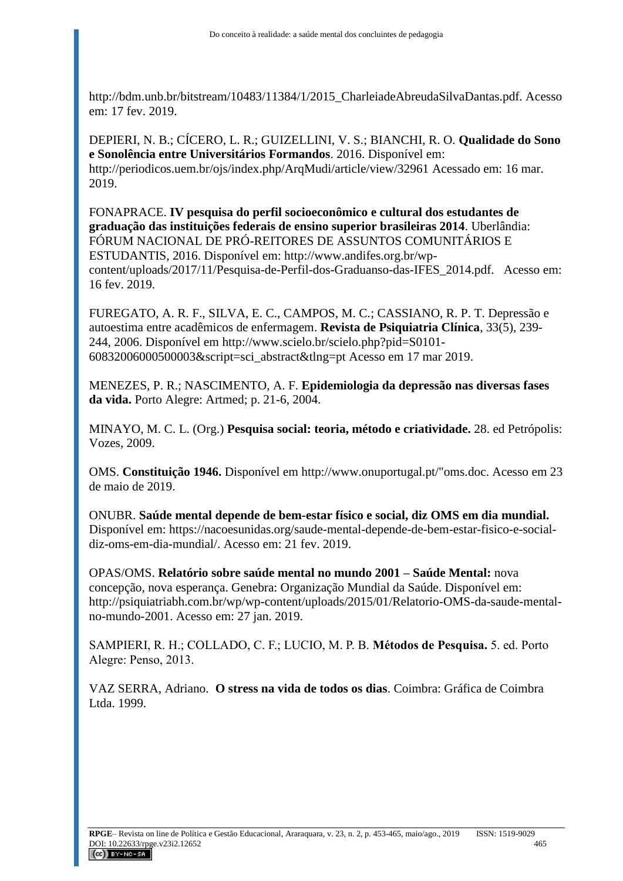http://bdm.unb.br/bitstream/10483/11384/1/2015\_CharleiadeAbreudaSilvaDantas.pdf. Acesso em: 17 fev. 2019.

DEPIERI, N. B.; CÍCERO, L. R.; GUIZELLINI, V. S.; BIANCHI, R. O. **Qualidade do Sono e Sonolência entre Universitários Formandos**. 2016. Disponível em: <http://periodicos.uem.br/ojs/index.php/ArqMudi/article/view/32961> Acessado em: 16 mar. 2019.

FONAPRACE. **IV pesquisa do perfil socioeconômico e cultural dos estudantes de graduação das instituições federais de ensino superior brasileiras 2014**. Uberlândia: FÓRUM NACIONAL DE PRÓ-REITORES DE ASSUNTOS COMUNITÁRIOS E ESTUDANTIS, 2016. Disponível em: http://www.andifes.org.br/wpcontent/uploads/2017/11/Pesquisa-de-Perfil-dos-Graduanso-das-IFES\_2014.pdf. Acesso em: 16 fev. 2019.

FUREGATO, A. R. F., SILVA, E. C., CAMPOS, M. C.; CASSIANO, R. P. T. Depressão e autoestima entre acadêmicos de enfermagem. **Revista de Psiquiatria Clínica**, 33(5), 239- 244, 2006. Disponível em [http://www.scielo.br/scielo.php?pid=S0101-](http://www.scielo.br/scielo.php?pid=S0101-60832006000500003&script=sci_abstract&tlng=pt) [60832006000500003&script=sci\\_abstract&tlng=pt](http://www.scielo.br/scielo.php?pid=S0101-60832006000500003&script=sci_abstract&tlng=pt) Acesso em 17 mar 2019.

MENEZES, P. R.; NASCIMENTO, A. F. **Epidemiologia da depressão nas diversas fases da vida.** Porto Alegre: Artmed; p. 21-6, 2004.

MINAYO, M. C. L. (Org.) **Pesquisa social: teoria, método e criatividade.** 28. ed Petrópolis: Vozes, 2009.

OMS. **Constituição 1946.** Disponível em http://www.onuportugal.pt/"oms.doc. Acesso em 23 de maio de 2019.

ONUBR. **Saúde mental depende de bem-estar físico e social, diz OMS em dia mundial.**  Disponível em: [https://nacoesunidas.org/saude-mental-depende-de-bem-estar-fisico-e-social](https://nacoesunidas.org/saude-mental-depende-de-bem-estar-fisico-e-social-diz-oms-em-dia-mundial/)[diz-oms-em-dia-mundial/.](https://nacoesunidas.org/saude-mental-depende-de-bem-estar-fisico-e-social-diz-oms-em-dia-mundial/) Acesso em: 21 fev. 2019.

OPAS/OMS. **Relatório sobre saúde mental no mundo 2001 – Saúde Mental:** nova concepção, nova esperança. Genebra: Organização Mundial da Saúde. Disponível em: http://psiquiatriabh.com.br/wp/wp-content/uploads/2015/01/Relatorio-OMS-da-saude-mentalno-mundo-2001. Acesso em: 27 jan. 2019.

SAMPIERI, R. H.; COLLADO, C. F.; LUCIO, M. P. B. **Métodos de Pesquisa.** 5. ed. Porto Alegre: Penso, 2013.

VAZ SERRA, Adriano. **O stress na vida de todos os dias**. Coimbra: Gráfica de Coimbra Ltda. 1999.